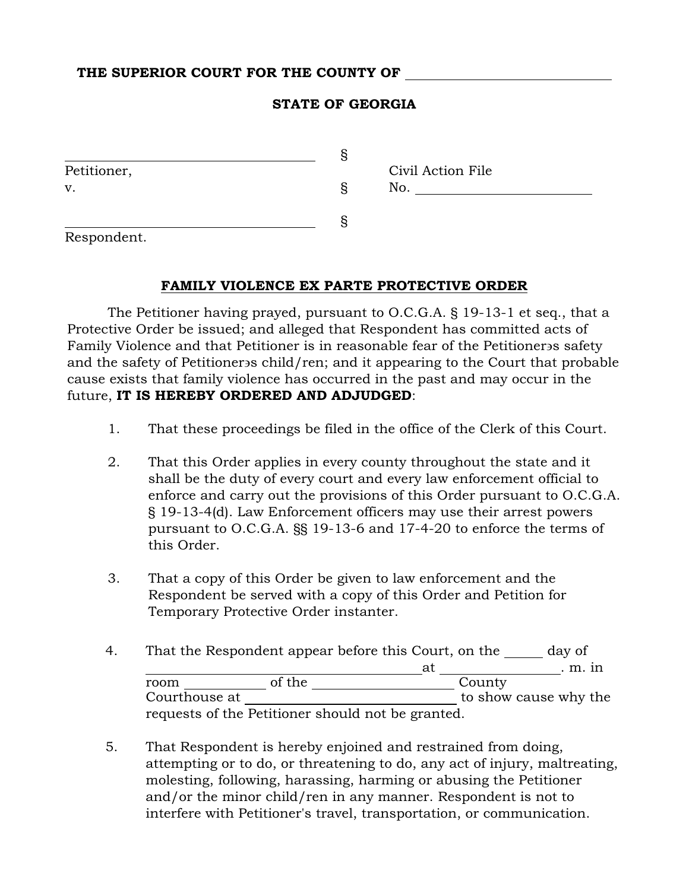## THE SUPERIOR COURT FOR THE COUNTY OF

## STATE OF GEORGIA

| Petitioner, |   | Civil Action File |
|-------------|---|-------------------|
| v.          | S | No.               |
|             |   |                   |
| Respondent. |   |                   |

## FAMILY VIOLENCE EX PARTE PROTECTIVE ORDER

The Petitioner having prayed, pursuant to O.C.G.A. § 19-13-1 et seq., that a Protective Order be issued; and alleged that Respondent has committed acts of Family Violence and that Petitioner is in reasonable fear of the Petitioner s safety and the safety of Petitioner s child/ren; and it appearing to the Court that probable cause exists that family violence has occurred in the past and may occur in the future, IT IS HEREBY ORDERED AND ADJUDGED:

- 1. That these proceedings be filed in the office of the Clerk of this Court.
- 2. That this Order applies in every county throughout the state and it shall be the duty of every court and every law enforcement official to enforce and carry out the provisions of this Order pursuant to O.C.G.A. § 19-13-4(d). Law Enforcement officers may use their arrest powers pursuant to O.C.G.A. §§ 19-13-6 and 17-4-20 to enforce the terms of this Order.
- 3. That a copy of this Order be given to law enforcement and the Respondent be served with a copy of this Order and Petition for Temporary Protective Order instanter.
- 4. That the Respondent appear before this Court, on the day of at . m. in room \_\_\_\_\_\_\_\_\_\_\_\_\_ of the \_\_\_\_\_\_\_\_\_\_\_\_\_\_\_\_\_\_\_\_\_\_\_\_\_\_\_\_\_\_\_\_\_\_County Courthouse at \_\_\_\_\_\_\_\_\_\_\_\_\_\_\_\_\_\_\_\_\_\_\_\_\_\_\_\_\_\_\_\_\_ to show cause why the requests of the Petitioner should not be granted.
- 5. That Respondent is hereby enjoined and restrained from doing, attempting or to do, or threatening to do, any act of injury, maltreating, molesting, following, harassing, harming or abusing the Petitioner and/or the minor child/ren in any manner. Respondent is not to interfere with Petitioner's travel, transportation, or communication.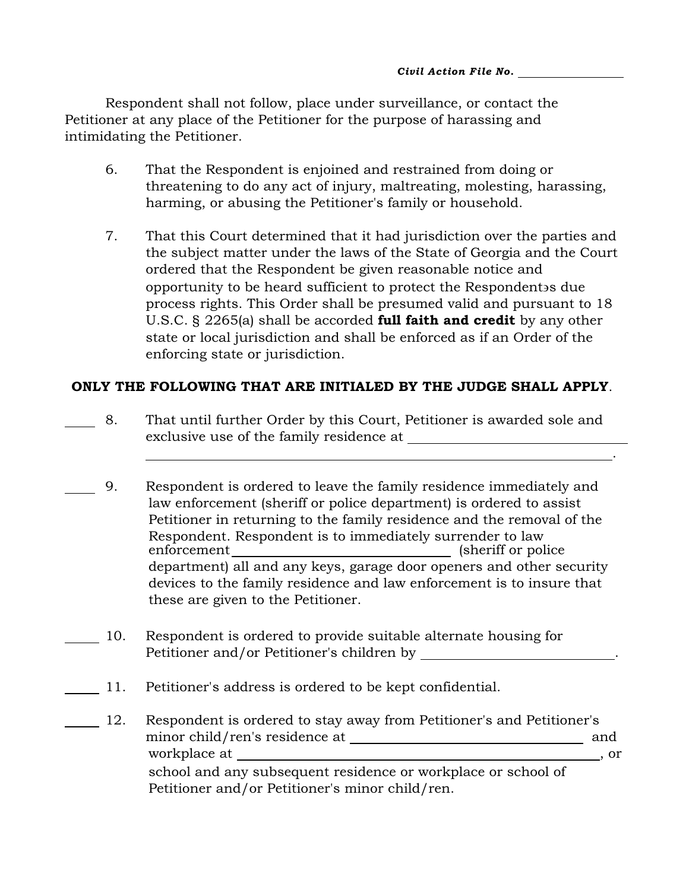Respondent shall not follow, place under surveillance, or contact the Petitioner at any place of the Petitioner for the purpose of harassing and intimidating the Petitioner.

- 6. That the Respondent is enjoined and restrained from doing or threatening to do any act of injury, maltreating, molesting, harassing, harming, or abusing the Petitioner's family or household.
- 7. That this Court determined that it had jurisdiction over the parties and the subject matter under the laws of the State of Georgia and the Court ordered that the Respondent be given reasonable notice and opportunity to be heard sufficient to protect the Respondent s due process rights. This Order shall be presumed valid and pursuant to 18 U.S.C. § 2265(a) shall be accorded **full faith and credit** by any other state or local jurisdiction and shall be enforced as if an Order of the enforcing state or jurisdiction.

## ONLY THE FOLLOWING THAT ARE INITIALED BY THE JUDGE SHALL APPLY.

 8. That until further Order by this Court, Petitioner is awarded sole and exclusive use of the family residence at

.

- 9. Respondent is ordered to leave the family residence immediately and law enforcement (sheriff or police department) is ordered to assist Petitioner in returning to the family residence and the removal of the Respondent. Respondent is to immediately surrender to law enforcement (sheriff or police department) all and any keys, garage door openers and other security devices to the family residence and law enforcement is to insure that these are given to the Petitioner.
- 10. Respondent is ordered to provide suitable alternate housing for Petitioner and/or Petitioner's children by .
- 11. Petitioner's address is ordered to be kept confidential.
- 12. Respondent is ordered to stay away from Petitioner's and Petitioner's minor child/ren's residence at and workplace at , or , or ,  $\alpha$  school and any subsequent residence or workplace or school of Petitioner and/or Petitioner's minor child/ren.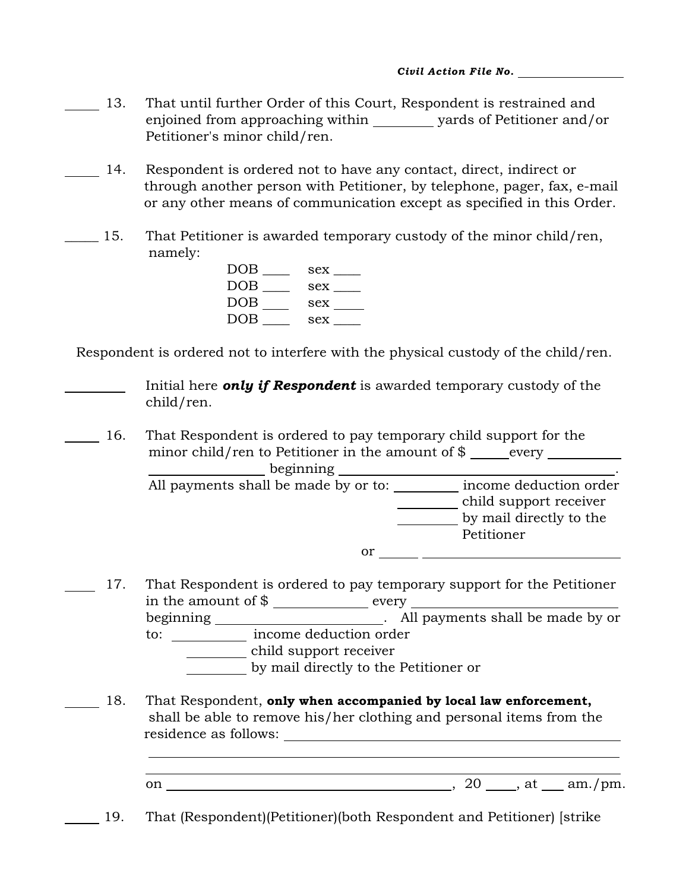- 13. That until further Order of this Court, Respondent is restrained and enjoined from approaching within \_\_\_\_\_\_\_ yards of Petitioner and/or Petitioner's minor child/ren.
- 14. Respondent is ordered not to have any contact, direct, indirect or through another person with Petitioner, by telephone, pager, fax, e-mail or any other means of communication except as specified in this Order.
- 15. That Petitioner is awarded temporary custody of the minor child/ren, namely:

| DOB        | sex |
|------------|-----|
| <b>DOB</b> | sex |
| DOB        | sex |
| DOB        | sex |

Respondent is ordered not to interfere with the physical custody of the child/ren.

 Initial here *only if Respondent* is awarded temporary custody of the child/ren.

 16. That Respondent is ordered to pay temporary child support for the minor child/ren to Petitioner in the amount of  $\$  every beginning . All payments shall be made by or to: \_\_\_\_\_\_\_ income deduction order

child support receiver by mail directly to the Petitioner  $\overline{\text{or}}$   $\overline{\text{...}}$   $\overline{\text{...}}$   $\overline{\text{...}}$   $\overline{\text{...}}$   $\overline{\text{...}}$   $\overline{\text{...}}$   $\overline{\text{...}}$   $\overline{\text{...}}$   $\overline{\text{...}}$   $\overline{\text{...}}$   $\overline{\text{...}}$   $\overline{\text{...}}$   $\overline{\text{...}}$   $\overline{\text{...}}$   $\overline{\text{...}}$   $\overline{\text{...}}$   $\overline{\text{...}}$   $\overline{\text{...}}$   $\overline{\text{...}}$ 

17. That Respondent is ordered to pay temporary support for the Petitioner in the amount of \$ every beginning \_\_\_\_\_\_\_\_\_\_\_\_\_\_\_\_\_\_\_\_\_\_\_\_. All payments shall be made by or to: \_\_\_\_\_\_\_\_\_\_\_ income deduction order child support receiver

by mail directly to the Petitioner or

18. That Respondent, only when accompanied by local law enforcement, shall be able to remove his/her clothing and personal items from the residence as follows:

on  $\overline{a}$ , 20 , at am./pm.

19. That (Respondent)(Petitioner)(both Respondent and Petitioner) [strike